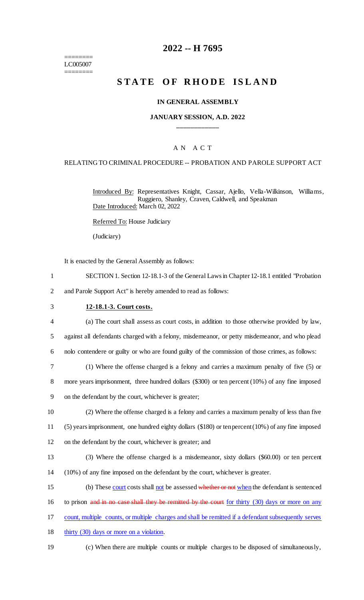======== LC005007 ========

## **2022 -- H 7695**

# **S T A T E O F R H O D E I S L A N D**

#### **IN GENERAL ASSEMBLY**

#### **JANUARY SESSION, A.D. 2022 \_\_\_\_\_\_\_\_\_\_\_\_**

#### A N A C T

#### RELATING TO CRIMINAL PROCEDURE -- PROBATION AND PAROLE SUPPORT ACT

Introduced By: Representatives Knight, Cassar, Ajello, Vella-Wilkinson, Williams, Ruggiero, Shanley, Craven, Caldwell, and Speakman Date Introduced: March 02, 2022

Referred To: House Judiciary

(Judiciary)

It is enacted by the General Assembly as follows:

- 1 SECTION 1. Section 12-18.1-3 of the General Laws in Chapter 12-18.1 entitled "Probation
- 2 and Parole Support Act" is hereby amended to read as follows:

#### 3 **12-18.1-3. Court costs.**

4 (a) The court shall assess as court costs, in addition to those otherwise provided by law, 5 against all defendants charged with a felony, misdemeanor, or petty misdemeanor, and who plead

6 nolo contendere or guilty or who are found guilty of the commission of those crimes, as follows:

7 (1) Where the offense charged is a felony and carries a maximum penalty of five (5) or 8 more years imprisonment, three hundred dollars (\$300) or ten percent (10%) of any fine imposed 9 on the defendant by the court, whichever is greater;

10 (2) Where the offense charged is a felony and carries a maximum penalty of less than five 11 (5) years imprisonment, one hundred eighty dollars (\$180) or ten percent (10%) of any fine imposed

12 on the defendant by the court, whichever is greater; and

13 (3) Where the offense charged is a misdemeanor, sixty dollars (\$60.00) or ten percent 14 (10%) of any fine imposed on the defendant by the court, whichever is greater.

15 (b) These court costs shall not be assessed whether or not when the defendant is sentenced

- 16 to prison and in no case shall they be remitted by the court for thirty (30) days or more on any
- 17 count, multiple counts, or multiple charges and shall be remitted if a defendant subsequently serves
- 18 thirty (30) days or more on a violation.
	-
- 19 (c) When there are multiple counts or multiple charges to be disposed of simultaneously,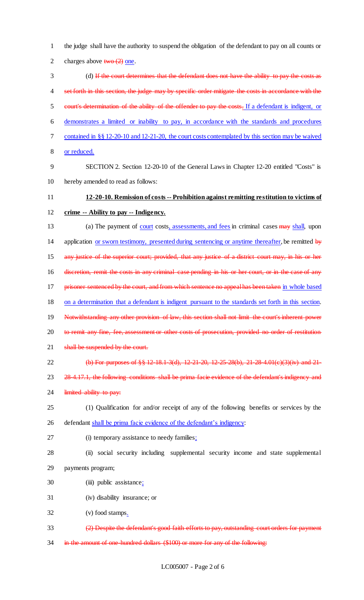2 charges above  $two (2)$  one. 3 (d) If the court determines that the defendant does not have the ability to pay the costs as 4 set forth in this section, the judge may by specific order mitigate the costs in accordance with the 5 court's determination of the ability of the offender to pay the costs. If a defendant is indigent, or 6 demonstrates a limited or inability to pay, in accordance with the standards and procedures 7 contained in §§ 12-20-10 and 12-21-20, the court costs contemplated by this section may be waived 8 or reduced. 9 SECTION 2. Section 12-20-10 of the General Laws in Chapter 12-20 entitled "Costs" is 10 hereby amended to read as follows: 11 **12-20-10. Remission of costs -- Prohibition against remitting restitution to victims of**  12 **crime -- Ability to pay -- Indigency.** 13 (a) The payment of court costs, assessments, and fees in criminal cases may shall, upon 14 application or sworn testimony, presented during sentencing or anytime thereafter, be remitted by 15 any justice of the superior court; provided, that any justice of a district court may, in his or her 16 discretion, remit the costs in any criminal case pending in his or her court, or in the case of any 17 prisoner sentenced by the court, and from which sentence no appeal has been taken in whole based 18 on a determination that a defendant is indigent pursuant to the standards set forth in this section. 19 Notwithstanding any other provision of law, this section shall not limit the court's inherent power 20 to remit any fine, fee, assessment or other costs of prosecution, provided no order of restitution 21 shall be suspended by the court. 22 (b) For purposes of §§ 12-18.1-3(d), 12-21-20, 12-25-28(b), 21-28-4.01(c)(3)(iv) and 21-23 28-4.17.1, the following conditions shall be prima facie evidence of the defendant's indigency and 24 limited ability to pay: 25 (1) Qualification for and/or receipt of any of the following benefits or services by the 26 defendant shall be prima facie evidence of the defendant's indigency: 27 (i) temporary assistance to needy families; 28 (ii) social security including supplemental security income and state supplemental 29 payments program; 30 (iii) public assistance; 31 (iv) disability insurance; or 32 (v) food stamps.

1 the judge shall have the authority to suspend the obligation of the defendant to pay on all counts or

- 33 (2) Despite the defendant's good faith efforts to pay, outstanding court orders for payment
- 34 in the amount of one-hundred dollars (\$100) or more for any of the following: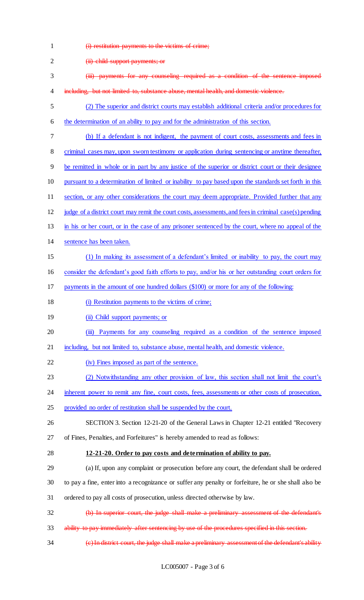1 **(i) restitution payments to the victims of crime;** 

| $\overline{c}$ | (ii) child support payments; or                                                                          |
|----------------|----------------------------------------------------------------------------------------------------------|
| 3              | (iii) payments for any counseling required as a condition of the sentence imposed                        |
| 4              | including, but not limited to, substance abuse, mental health, and domestic violence.                    |
| 5              | (2) The superior and district courts may establish additional criteria and/or procedures for             |
| 6              | the determination of an ability to pay and for the administration of this section.                       |
| 7              | (b) If a defendant is not indigent, the payment of court costs, assessments and fees in                  |
| 8              | criminal cases may, upon sworn testimony or application during sentencing or anytime thereafter,         |
| 9              | be remitted in whole or in part by any justice of the superior or district court or their designee       |
| 10             | pursuant to a determination of limited or inability to pay based upon the standards set forth in this    |
| 11             | section, or any other considerations the court may deem appropriate. Provided further that any           |
| 12             | judge of a district court may remit the court costs, assessments, and fees in criminal case(s) pending   |
| 13             | in his or her court, or in the case of any prisoner sentenced by the court, where no appeal of the       |
| 14             | sentence has been taken.                                                                                 |
| 15             | (1) In making its assessment of a defendant's limited or inability to pay, the court may                 |
| 16             | consider the defendant's good faith efforts to pay, and/or his or her outstanding court orders for       |
| 17             | payments in the amount of one hundred dollars (\$100) or more for any of the following:                  |
| 18             | (i) Restitution payments to the victims of crime;                                                        |
| 19             | (ii) Child support payments; or                                                                          |
| 20             | Payments for any counseling required as a condition of the sentence imposed<br>$\overline{(\mathbf{m})}$ |
| 21             | including, but not limited to, substance abuse, mental health, and domestic violence.                    |
| 22             | (iv) Fines imposed as part of the sentence.                                                              |
| 23             | (2) Notwithstanding any other provision of law, this section shall not limit the court's                 |
| 24             | inherent power to remit any fine, court costs, fees, assessments or other costs of prosecution,          |
| 25             | provided no order of restitution shall be suspended by the court.                                        |
| 26             | SECTION 3. Section 12-21-20 of the General Laws in Chapter 12-21 entitled "Recovery                      |
| 27             | of Fines, Penalties, and Forfeitures" is hereby amended to read as follows:                              |
| 28             | 12-21-20. Order to pay costs and determination of ability to pay.                                        |
| 29             | (a) If, upon any complaint or prosecution before any court, the defendant shall be ordered               |
| 30             | to pay a fine, enter into a recognizance or suffer any penalty or forfeiture, he or she shall also be    |
| 31             | ordered to pay all costs of prosecution, unless directed otherwise by law.                               |
| 32             | (b) In superior court, the judge shall make a preliminary assessment of the defendant's                  |
| 33             | ability to pay immediately after sentencing by use of the procedures specified in this section.          |
| 34             | (e) In district court, the judge shall make a preliminary assessment of the defendant's ability          |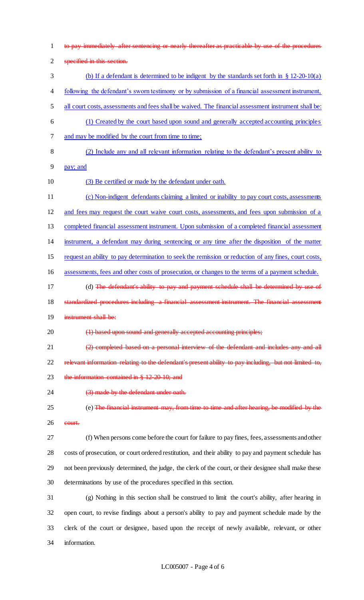to pay immediately after sentencing or nearly thereafter as practicable by use of the procedures specified in this section. (b) If a defendant is determined to be indigent by the standards set forth in § 12-20-10(a) following the defendant's sworn testimony or by submission of a financial assessment instrument, all court costs, assessments and fees shall be waived. The financial assessment instrument shall be: (1) Created by the court based upon sound and generally accepted accounting principles and may be modified by the court from time to time; (2) Include any and all relevant information relating to the defendant's present ability to pay; and (3) Be certified or made by the defendant under oath. (c) Non-indigent defendants claiming a limited or inability to pay court costs, assessments and fees may request the court waive court costs, assessments, and fees upon submission of a completed financial assessment instrument. Upon submission of a completed financial assessment instrument, a defendant may during sentencing or any time after the disposition of the matter request an ability to pay determination to seek the remission or reduction of any fines, court costs, assessments, fees and other costs of prosecution, or changes to the terms of a payment schedule. 17 (d) The defendant's ability to pay and payment schedule shall be determined by use of 18 standardized procedures including a financial assessment instrument. The financial assessment instrument shall be: 20 (1) based upon sound and generally accepted accounting principles; (2) completed based on a personal interview of the defendant and includes any and all 22 relevant information relating to the defendant's present ability to pay including, but not limited to, 23 the information contained in § 12-20-10; and 24 (3) made by the defendant under oath. (e) The financial instrument may, from time to time and after hearing, be modified by the court. (f) When persons come before the court for failure to pay fines, fees, assessments and other costs of prosecution, or court ordered restitution, and their ability to pay and payment schedule has not been previously determined, the judge, the clerk of the court, or their designee shall make these determinations by use of the procedures specified in this section. (g) Nothing in this section shall be construed to limit the court's ability, after hearing in open court, to revise findings about a person's ability to pay and payment schedule made by the clerk of the court or designee, based upon the receipt of newly available, relevant, or other information.

#### LC005007 - Page 4 of 6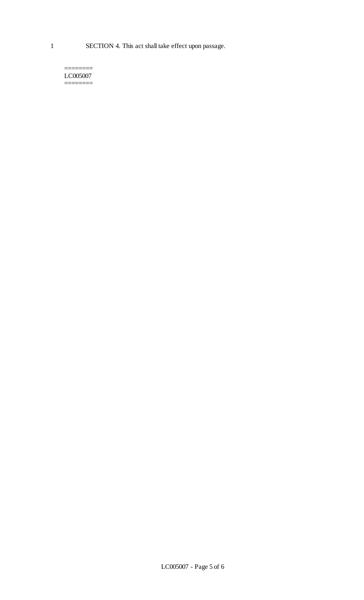1 SECTION 4. This act shall take effect upon passage.

======== LC005007 ========